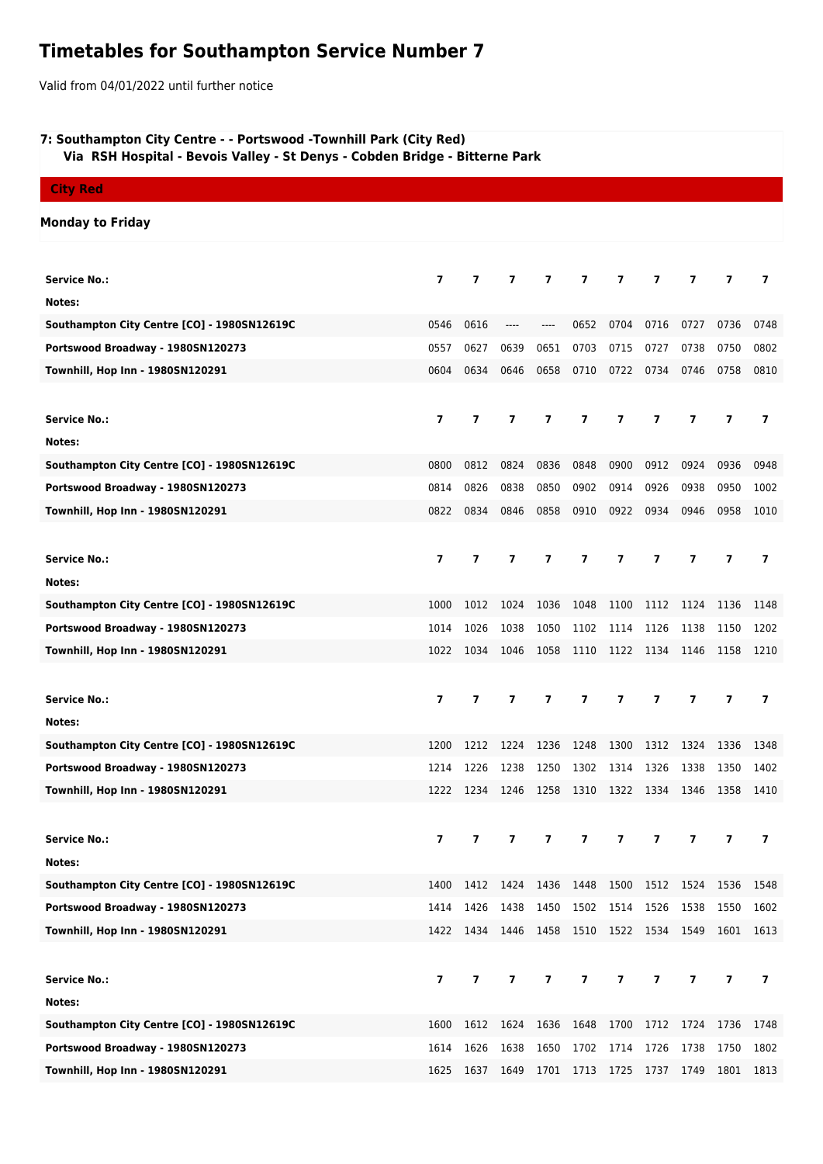## **Timetables for Southampton Service Number 7**

Valid from 04/01/2022 until further notice

## **7: Southampton City Centre - - Portswood -Townhill Park (City Red)**

 **Via RSH Hospital - Bevois Valley - St Denys - Cobden Bridge - Bitterne Park**

## **City Red**

## **Monday to Friday**

| <b>Service No.:</b>                         | $\overline{ }$           | 7                        | 7                        | 7                       | 7              | 7                       | 7                       | 7                       | 7                        | 7              |
|---------------------------------------------|--------------------------|--------------------------|--------------------------|-------------------------|----------------|-------------------------|-------------------------|-------------------------|--------------------------|----------------|
| Notes:                                      |                          |                          |                          |                         |                |                         |                         |                         |                          |                |
| Southampton City Centre [CO] - 1980SN12619C | 0546                     | 0616                     | $---$                    | ----                    | 0652           | 0704                    | 0716                    | 0727                    | 0736                     | 0748           |
| Portswood Broadway - 1980SN120273           | 0557                     | 0627                     | 0639                     | 0651                    | 0703           | 0715                    | 0727                    | 0738                    | 0750                     | 0802           |
| Townhill, Hop Inn - 1980SN120291            | 0604                     | 0634                     | 0646                     | 0658                    | 0710           | 0722                    | 0734                    | 0746                    | 0758                     | 0810           |
|                                             |                          |                          |                          |                         |                |                         |                         |                         |                          |                |
| <b>Service No.:</b>                         | $\overline{\phantom{a}}$ | $\overline{\phantom{a}}$ | $\overline{\phantom{a}}$ | $\overline{\mathbf{z}}$ | 7              | 7                       | $\overline{\mathbf{z}}$ | 7                       | 7                        | 7              |
| Notes:                                      |                          |                          |                          |                         |                |                         |                         |                         |                          |                |
| Southampton City Centre [CO] - 1980SN12619C | 0800                     | 0812                     | 0824                     | 0836                    | 0848           | 0900                    | 0912                    | 0924                    | 0936                     | 0948           |
| Portswood Broadway - 1980SN120273           | 0814                     | 0826                     | 0838                     | 0850                    | 0902           | 0914                    | 0926                    | 0938                    | 0950                     | 1002           |
| Townhill, Hop Inn - 1980SN120291            | 0822                     | 0834                     | 0846                     | 0858                    | 0910           | 0922                    | 0934                    | 0946                    | 0958                     | 1010           |
|                                             |                          |                          |                          |                         |                |                         |                         |                         |                          |                |
| <b>Service No.:</b>                         | $\overline{ }$           | $\overline{ }$           | $\overline{ }$           | $\overline{ }$          | $\overline{ }$ | $\overline{ }$          | $\overline{ }$          | $\overline{ }$          | $\overline{\phantom{a}}$ | $\overline{ }$ |
| Notes:                                      |                          |                          |                          |                         |                |                         |                         |                         |                          |                |
| Southampton City Centre [CO] - 1980SN12619C | 1000                     | 1012                     | 1024                     | 1036                    | 1048           | 1100                    | 1112                    | 1124                    | 1136                     | 1148           |
| Portswood Broadway - 1980SN120273           | 1014                     | 1026                     | 1038                     | 1050                    | 1102           | 1114                    | 1126                    | 1138                    | 1150                     | 1202           |
| Townhill, Hop Inn - 1980SN120291            | 1022                     | 1034                     | 1046                     | 1058                    | 1110           | 1122                    | 1134                    | 1146                    | 1158                     | 1210           |
|                                             |                          |                          |                          |                         |                |                         |                         |                         |                          |                |
|                                             |                          |                          |                          |                         |                |                         |                         |                         |                          |                |
|                                             |                          |                          |                          |                         |                |                         |                         |                         |                          |                |
| <b>Service No.:</b>                         | $\overline{ }$           | $\overline{ }$           | $\overline{ }$           | 7                       | 7              | 7                       | $\overline{ }$          | 7                       | 7                        | $\overline{ }$ |
| Notes:                                      |                          |                          |                          |                         |                |                         |                         |                         |                          |                |
| Southampton City Centre [CO] - 1980SN12619C | 1200                     | 1212                     | 1224                     | 1236                    | 1248           | 1300                    | 1312                    | 1324                    | 1336                     | 1348           |
| Portswood Broadway - 1980SN120273           | 1214                     | 1226                     | 1238                     | 1250                    | 1302           | 1314                    | 1326                    | 1338                    | 1350                     | 1402           |
| Townhill, Hop Inn - 1980SN120291            | 1222                     | 1234                     | 1246                     | 1258                    | 1310           | 1322                    | 1334                    | 1346                    | 1358                     | 1410           |
|                                             |                          |                          |                          |                         |                |                         |                         |                         |                          |                |
| <b>Service No.:</b>                         | $\overline{ }$           | $\overline{ }$           | $\overline{ }$           | 7                       | 7              | $\overline{\mathbf{z}}$ | $\overline{ }$          | 7                       | $\overline{\phantom{a}}$ | $\overline{ }$ |
| Notes:                                      |                          |                          |                          |                         |                |                         |                         |                         |                          |                |
| Southampton City Centre [CO] - 1980SN12619C | 1400                     |                          | 1412 1424                |                         | 1436 1448 1500 |                         | 1512 1524 1536          |                         |                          | 1548           |
| Portswood Broadway - 1980SN120273           | 1414                     | 1426                     | 1438                     | 1450                    | 1502 1514      |                         | 1526                    | 1538                    | 1550                     | 1602           |
| Townhill, Hop Inn - 1980SN120291            |                          | 1422 1434 1446           |                          | 1458                    |                | 1510 1522 1534          |                         | 1549                    | 1601                     | 1613           |
|                                             |                          |                          |                          |                         |                |                         |                         |                         |                          |                |
| <b>Service No.:</b>                         | 7                        | 7                        | $\overline{7}$           | $\overline{\mathbf{z}}$ | 7              | $\overline{\mathbf{z}}$ | $\overline{\mathbf{z}}$ | $\overline{\mathbf{z}}$ | $\overline{7}$           | $\overline{7}$ |
| Notes:                                      |                          |                          |                          |                         |                |                         |                         |                         |                          |                |
| Southampton City Centre [CO] - 1980SN12619C | 1600                     |                          | 1612 1624                | 1636                    | 1648           | 1700                    |                         | 1712 1724 1736          |                          | 1748           |
| Portswood Broadway - 1980SN120273           | 1614                     | 1626                     | 1638                     | 1650                    | 1702 1714      |                         | 1726                    | 1738                    | 1750                     | 1802           |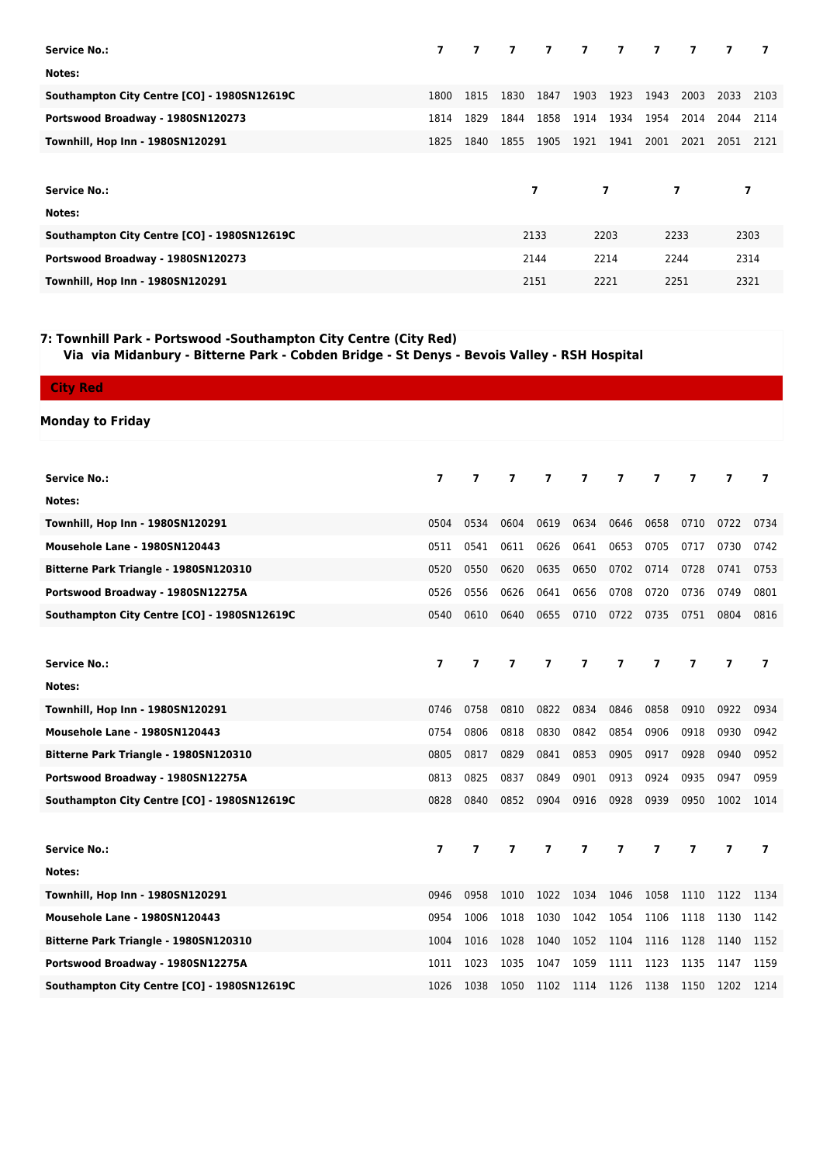| <b>Service No.:</b>                         | $\overline{ }$ |      | 7 7 7 7 7 7 7 7 7 |      |      |                |      |                |      |      |
|---------------------------------------------|----------------|------|-------------------|------|------|----------------|------|----------------|------|------|
| Notes:                                      |                |      |                   |      |      |                |      |                |      |      |
| Southampton City Centre [CO] - 1980SN12619C | 1800           | 1815 | 1830              | 1847 | 1903 | 1923           | 1943 | 2003           | 2033 | 2103 |
| Portswood Broadway - 1980SN120273           | 1814           | 1829 | 1844              | 1858 | 1914 | 1934           | 1954 | 2014           | 2044 | 2114 |
| Townhill, Hop Inn - 1980SN120291            | 1825           | 1840 | 1855              | 1905 | 1921 | 1941           | 2001 | 2021           | 2051 | 2121 |
|                                             |                |      |                   |      |      |                |      |                |      |      |
| <b>Service No.:</b>                         |                |      |                   | 7    |      | $\overline{7}$ |      | $\overline{7}$ | 7    |      |
| Notes:                                      |                |      |                   |      |      |                |      |                |      |      |
| Southampton City Centre [CO] - 1980SN12619C |                |      |                   | 2133 |      | 2203           |      | 2233           | 2303 |      |
| Portswood Broadway - 1980SN120273           |                |      |                   | 2144 |      | 2214           |      | 2244           | 2314 |      |
| Townhill, Hop Inn - 1980SN120291            |                |      |                   | 2151 |      | 2221           |      | 2251           | 2321 |      |

**7: Townhill Park - Portswood -Southampton City Centre (City Red)**

 **Via via Midanbury - Bitterne Park - Cobden Bridge - St Denys - Bevois Valley - RSH Hospital**

| <b>City Red</b>                             |                          |                |                          |      |                         |                          |                          |                |                          |                          |
|---------------------------------------------|--------------------------|----------------|--------------------------|------|-------------------------|--------------------------|--------------------------|----------------|--------------------------|--------------------------|
| <b>Monday to Friday</b>                     |                          |                |                          |      |                         |                          |                          |                |                          |                          |
|                                             |                          |                |                          |      |                         |                          |                          |                |                          |                          |
| <b>Service No.:</b>                         | $\overline{7}$           | $\overline{7}$ | $\overline{\phantom{a}}$ | 7    | $\overline{\mathbf{z}}$ | $\overline{\phantom{a}}$ | $\overline{\phantom{a}}$ | $\overline{7}$ | 7                        | $\overline{ }$           |
| Notes:                                      |                          |                |                          |      |                         |                          |                          |                |                          |                          |
| Townhill, Hop Inn - 1980SN120291            | 0504                     | 0534           | 0604                     | 0619 | 0634                    | 0646                     | 0658                     | 0710           | 0722                     | 0734                     |
| Mousehole Lane - 1980SN120443               | 0511                     | 0541           | 0611                     | 0626 | 0641                    | 0653                     | 0705                     | 0717           | 0730                     | 0742                     |
| Bitterne Park Triangle - 1980SN120310       | 0520                     | 0550           | 0620                     | 0635 | 0650                    | 0702                     | 0714                     | 0728           | 0741                     | 0753                     |
| Portswood Broadway - 1980SN12275A           | 0526                     | 0556           | 0626                     | 0641 | 0656                    | 0708                     | 0720                     | 0736           | 0749                     | 0801                     |
| Southampton City Centre [CO] - 1980SN12619C | 0540                     | 0610           | 0640                     | 0655 | 0710                    | 0722                     | 0735                     | 0751           | 0804                     | 0816                     |
|                                             |                          |                |                          |      |                         |                          |                          |                |                          |                          |
| <b>Service No.:</b>                         | $\overline{7}$           | $\overline{ }$ | $\overline{7}$           | 7    | $\overline{\mathbf{z}}$ | $\overline{\phantom{a}}$ | $\overline{\phantom{a}}$ | $\overline{ }$ | $\overline{ }$           | 7                        |
| Notes:                                      |                          |                |                          |      |                         |                          |                          |                |                          |                          |
| Townhill, Hop Inn - 1980SN120291            | 0746                     | 0758           | 0810                     | 0822 | 0834                    | 0846                     | 0858                     | 0910           | 0922                     | 0934                     |
| Mousehole Lane - 1980SN120443               | 0754                     | 0806           | 0818                     | 0830 | 0842                    | 0854                     | 0906                     | 0918           | 0930                     | 0942                     |
| Bitterne Park Triangle - 1980SN120310       | 0805                     | 0817           | 0829                     | 0841 | 0853                    | 0905                     | 0917                     | 0928           | 0940                     | 0952                     |
| Portswood Broadway - 1980SN12275A           | 0813                     | 0825           | 0837                     | 0849 | 0901                    | 0913                     | 0924                     | 0935           | 0947                     | 0959                     |
| Southampton City Centre [CO] - 1980SN12619C | 0828                     | 0840           | 0852                     | 0904 | 0916                    | 0928                     | 0939                     | 0950           | 1002                     | 1014                     |
|                                             |                          |                |                          |      |                         |                          |                          |                |                          |                          |
| <b>Service No.:</b>                         | $\overline{\phantom{a}}$ | $\overline{7}$ | $\overline{\mathbf{z}}$  | 7    | 7                       | $\overline{\phantom{a}}$ | $\overline{ }$           | 7              | $\overline{\phantom{a}}$ | $\overline{\phantom{a}}$ |
| Notes:                                      |                          |                |                          |      |                         |                          |                          |                |                          |                          |
| Townhill, Hop Inn - 1980SN120291            | 0946                     | 0958           | 1010                     | 1022 | 1034                    | 1046                     | 1058                     | 1110           | 1122                     | 1134                     |
| Mousehole Lane - 1980SN120443               | 0954                     | 1006           | 1018                     | 1030 | 1042                    | 1054                     | 1106                     | 1118           | 1130                     | 1142                     |
| Bitterne Park Triangle - 1980SN120310       | 1004                     | 1016           | 1028                     | 1040 | 1052                    | 1104                     | 1116                     | 1128           | 1140                     | 1152                     |
| Portswood Broadway - 1980SN12275A           | 1011                     | 1023           | 1035                     | 1047 | 1059                    | 1111                     | 1123                     | 1135           | 1147                     | 1159                     |
| Southampton City Centre [CO] - 1980SN12619C | 1026                     | 1038           | 1050                     | 1102 | 1114                    | 1126                     | 1138                     | 1150           | 1202                     | 1214                     |